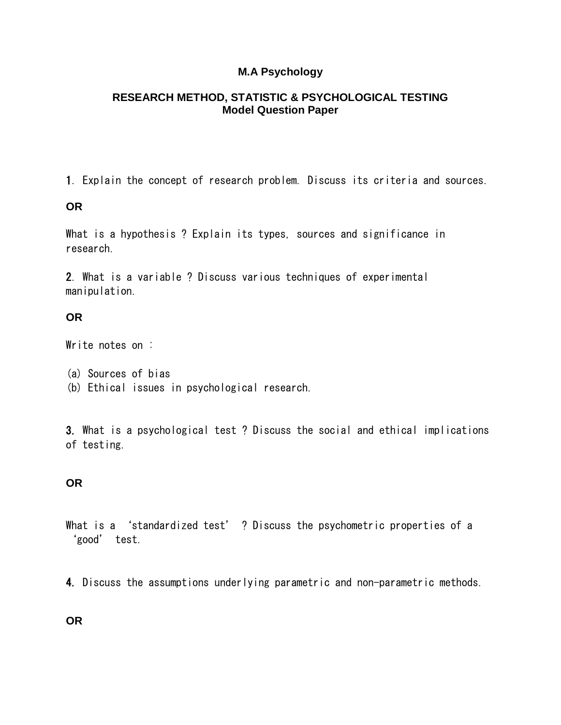## **M.A Psychology**

#### **RESEARCH METHOD, STATISTIC & PSYCHOLOGICAL TESTING Model Question Paper**

1. Explain the concept of research problem. Discuss its criteria and sources.

### **OR**

What is a hypothesis ? Explain its types, sources and significance in research.

2. What is a variable ? Discuss various techniques of experimental manipulation.

### **OR**

Write notes on :

- (a) Sources of bias
- (b) Ethical issues in psychological research.

3. What is a psychological test ? Discuss the social and ethical implications of testing.

# **OR**

- What is a 'standardized test' ? Discuss the psychometric properties of a 'good' test.
- 4. Discuss the assumptions underlying parametric and non-parametric methods.

### **OR**